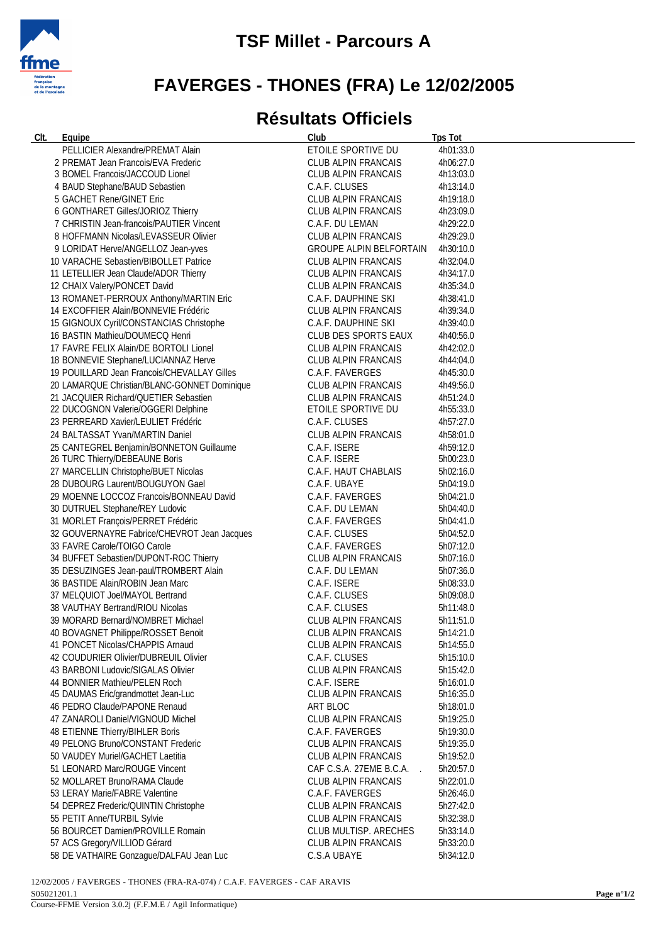

## **FAVERGES - THONES (FRA) Le 12/02/2005**

## **Résultats Officiels**

| <u>CIt.</u> | Equipe                                                             | Club                                   | <b>Tps Tot</b>         |
|-------------|--------------------------------------------------------------------|----------------------------------------|------------------------|
|             | PELLICIER Alexandre/PREMAT Alain                                   | ETOILE SPORTIVE DU                     | 4h01:33.0              |
|             | 2 PREMAT Jean Francois/EVA Frederic                                | <b>CLUB ALPIN FRANCAIS</b>             | 4h06:27.0              |
|             | 3 BOMEL Francois/JACCOUD Lionel                                    | CLUB ALPIN FRANCAIS                    | 4h13:03.0              |
|             | 4 BAUD Stephane/BAUD Sebastien                                     | C.A.F. CLUSES                          | 4h13:14.0              |
|             | 5 GACHET Rene/GINET Eric                                           | CLUB ALPIN FRANCAIS                    | 4h19:18.0              |
|             | 6 GONTHARET Gilles/JORIOZ Thierry                                  | CLUB ALPIN FRANCAIS                    | 4h23:09.0              |
|             | 7 CHRISTIN Jean-francois/PAUTIER Vincent                           | C.A.F. DU LEMAN                        | 4h29:22.0              |
|             | 8 HOFFMANN Nicolas/LEVASSEUR Olivier                               | <b>CLUB ALPIN FRANCAIS</b>             | 4h29:29.0              |
|             | 9 LORIDAT Herve/ANGELLOZ Jean-yves                                 | <b>GROUPE ALPIN BELFORTAIN</b>         | 4h30:10.0              |
|             | 10 VARACHE Sebastien/BIBOLLET Patrice                              | CLUB ALPIN FRANCAIS                    | 4h32:04.0              |
|             | 11 LETELLIER Jean Claude/ADOR Thierry                              | CLUB ALPIN FRANCAIS                    | 4h34:17.0              |
|             | 12 CHAIX Valery/PONCET David                                       | CLUB ALPIN FRANCAIS                    | 4h35:34.0              |
|             | 13 ROMANET-PERROUX Anthony/MARTIN Eric                             | C.A.F. DAUPHINE SKI                    | 4h38:41.0              |
|             | 14 EXCOFFIER Alain/BONNEVIE Frédéric                               | CLUB ALPIN FRANCAIS                    | 4h39:34.0              |
|             | 15 GIGNOUX Cyril/CONSTANCIAS Christophe                            | C.A.F. DAUPHINE SKI                    | 4h39:40.0              |
|             | 16 BASTIN Mathieu/DOUMECQ Henri                                    | CLUB DES SPORTS EAUX                   | 4h40:56.0              |
|             | 17 FAVRE FELIX Alain/DE BORTOLI Lionel                             | CLUB ALPIN FRANCAIS                    | 4h42:02.0              |
|             | 18 BONNEVIE Stephane/LUCIANNAZ Herve                               | CLUB ALPIN FRANCAIS                    | 4h44:04.0              |
|             | 19 POUILLARD Jean Francois/CHEVALLAY Gilles                        | C.A.F. FAVERGES                        | 4h45:30.0              |
|             | 20 LAMARQUE Christian/BLANC-GONNET Dominique                       | CLUB ALPIN FRANCAIS                    | 4h49:56.0              |
|             | 21 JACQUIER Richard/QUETIER Sebastien                              | CLUB ALPIN FRANCAIS                    | 4h51:24.0              |
|             | 22 DUCOGNON Valerie/OGGERI Delphine                                | ETOILE SPORTIVE DU                     | 4h55:33.0              |
|             | 23 PERREARD Xavier/LEULIET Frédéric                                | C.A.F. CLUSES                          | 4h57:27.0              |
|             | 24 BALTASSAT Yvan/MARTIN Daniel                                    | <b>CLUB ALPIN FRANCAIS</b>             | 4h58:01.0              |
|             | 25 CANTEGREL Benjamin/BONNETON Guillaume                           | C.A.F. ISERE                           | 4h59:12.0              |
|             | 26 TURC Thierry/DEBEAUNE Boris                                     | C.A.F. ISERE                           | 5h00:23.0              |
|             | 27 MARCELLIN Christophe/BUET Nicolas                               | C.A.F. HAUT CHABLAIS                   | 5h02:16.0              |
|             | 28 DUBOURG Laurent/BOUGUYON Gael                                   | C.A.F. UBAYE                           | 5h04:19.0              |
|             | 29 MOENNE LOCCOZ Francois/BONNEAU David                            | C.A.F. FAVERGES                        | 5h04:21.0              |
|             | 30 DUTRUEL Stephane/REY Ludovic                                    | C.A.F. DU LEMAN                        | 5h04:40.0              |
|             | 31 MORLET François/PERRET Frédéric                                 | C.A.F. FAVERGES                        | 5h04:41.0              |
|             | 32 GOUVERNAYRE Fabrice/CHEVROT Jean Jacques                        | C.A.F. CLUSES                          | 5h04:52.0              |
|             | 33 FAVRE Carole/TOIGO Carole                                       | C.A.F. FAVERGES                        | 5h07:12.0              |
|             | 34 BUFFET Sebastien/DUPONT-ROC Thierry                             | CLUB ALPIN FRANCAIS                    | 5h07:16.0              |
|             | 35 DESUZINGES Jean-paul/TROMBERT Alain                             | C.A.F. DU LEMAN                        | 5h07:36.0              |
|             | 36 BASTIDE Alain/ROBIN Jean Marc                                   | C.A.F. ISERE                           | 5h08:33.0              |
|             | 37 MELQUIOT Joel/MAYOL Bertrand                                    | C.A.F. CLUSES                          | 5h09:08.0              |
|             | 38 VAUTHAY Bertrand/RIOU Nicolas                                   | C.A.F. CLUSES                          | 5h11:48.0              |
|             | 39 MORARD Bernard/NOMBRET Michael                                  | CLUB ALPIN FRANCAIS                    | 5h11:51.0              |
|             | 40 BOVAGNET Philippe/ROSSET Benoit                                 | CLUB ALPIN FRANCAIS                    | 5h14:21.0              |
|             | 41 PONCET Nicolas/CHAPPIS Arnaud                                   | CLUB ALPIN FRANCAIS                    | 5h14:55.0              |
|             | 42 COUDURIER Olivier/DUBREUIL Olivier                              | C.A.F. CLUSES                          | 5h15:10.0              |
|             | 43 BARBONI Ludovic/SIGALAS Olivier                                 | CLUB ALPIN FRANCAIS                    | 5h15:42.0              |
|             | 44 BONNIER Mathieu/PELEN Roch                                      | C.A.F. ISERE                           | 5h16:01.0              |
|             | 45 DAUMAS Eric/grandmottet Jean-Luc                                | CLUB ALPIN FRANCAIS                    | 5h16:35.0              |
|             | 46 PEDRO Claude/PAPONE Renaud<br>47 ZANAROLI Daniel/VIGNOUD Michel | ART BLOC                               | 5h18:01.0              |
|             | 48 ETIENNE Thierry/BIHLER Boris                                    | CLUB ALPIN FRANCAIS<br>C.A.F. FAVERGES | 5h19:25.0<br>5h19:30.0 |
|             | 49 PELONG Bruno/CONSTANT Frederic                                  | CLUB ALPIN FRANCAIS                    | 5h19:35.0              |
|             | 50 VAUDEY Muriel/GACHET Laetitia                                   | CLUB ALPIN FRANCAIS                    | 5h19:52.0              |
|             | 51 LEONARD Marc/ROUGE Vincent                                      | CAF C.S.A. 27EME B.C.A.                | 5h20:57.0              |
|             | 52 MOLLARET Bruno/RAMA Claude                                      | CLUB ALPIN FRANCAIS                    | 5h22:01.0              |
|             | 53 LERAY Marie/FABRE Valentine                                     | C.A.F. FAVERGES                        | 5h26:46.0              |
|             | 54 DEPREZ Frederic/QUINTIN Christophe                              | CLUB ALPIN FRANCAIS                    | 5h27:42.0              |
|             | 55 PETIT Anne/TURBIL Sylvie                                        | CLUB ALPIN FRANCAIS                    | 5h32:38.0              |
|             | 56 BOURCET Damien/PROVILLE Romain                                  | CLUB MULTISP. ARECHES                  | 5h33:14.0              |
|             | 57 ACS Gregory/VILLIOD Gérard                                      | CLUB ALPIN FRANCAIS                    | 5h33:20.0              |
|             | 58 DE VATHAIRE Gonzague/DALFAU Jean Luc                            | C.S.A UBAYE                            | 5h34:12.0              |
|             |                                                                    |                                        |                        |

12/02/2005 / FAVERGES - THONES (FRA-RA-074) / C.A.F. FAVERGES - CAF ARAVIS S05021201.1